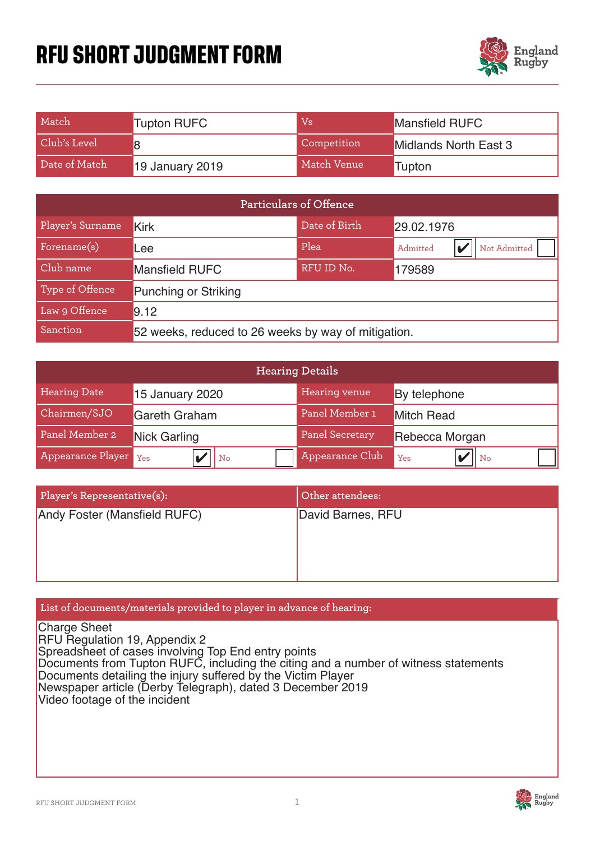# **RFU SHORT JUDGMENT FORM**



| Match         | <b>Tupton RUFC</b> | $\mathrm{Vs}$ | <b>Mansfield RUFC</b>        |
|---------------|--------------------|---------------|------------------------------|
| Club's Level  |                    | Competition   | <b>Midlands North East 3</b> |
| Date of Match | 19 January 2019    | Match Venue   | 'Tupton                      |

| Particulars of Offence |                                                     |            |                          |  |  |
|------------------------|-----------------------------------------------------|------------|--------------------------|--|--|
| Player's Surname       | Date of Birth<br>29.02.1976<br><b>Kirk</b>          |            |                          |  |  |
| Forename(s)            | .ee                                                 | Plea       | Not Admitted<br>Admitted |  |  |
| Club name              | <b>Mansfield RUFC</b>                               | RFU ID No. | 179589                   |  |  |
| Type of Offence        | <b>Punching or Striking</b>                         |            |                          |  |  |
| Law 9 Offence          | 9.12                                                |            |                          |  |  |
| Sanction               | 52 weeks, reduced to 26 weeks by way of mitigation. |            |                          |  |  |

| <b>Hearing Details</b> |                        |                        |                   |  |
|------------------------|------------------------|------------------------|-------------------|--|
| <b>Hearing Date</b>    | <b>15 January 2020</b> | Hearing venue          | By telephone      |  |
| Chairmen/SJO           | <b>Gareth Graham</b>   | Panel Member 1         | <b>Mitch Read</b> |  |
| Panel Member 2         | <b>Nick Garling</b>    | <b>Panel Secretary</b> | Rebecca Morgan    |  |
| Appearance Player      | Yes<br>$ $ No          | Appearance Club        | II No<br>Yes      |  |

| Player's Representative(s):  | Other attendees:  |
|------------------------------|-------------------|
| Andy Foster (Mansfield RUFC) | David Barnes, RFU |

## **List of documents/materials provided to player in advance of hearing:**

Charge Sheet RFU Regulation 19, Appendix 2 Spreadsheet of cases involving Top End entry points Documents from Tupton RUFC, including the citing and a number of witness statements Documents detailing the injury suffered by the Victim Player Newspaper article (Derby Telegraph), dated 3 December 2019 Video footage of the incident

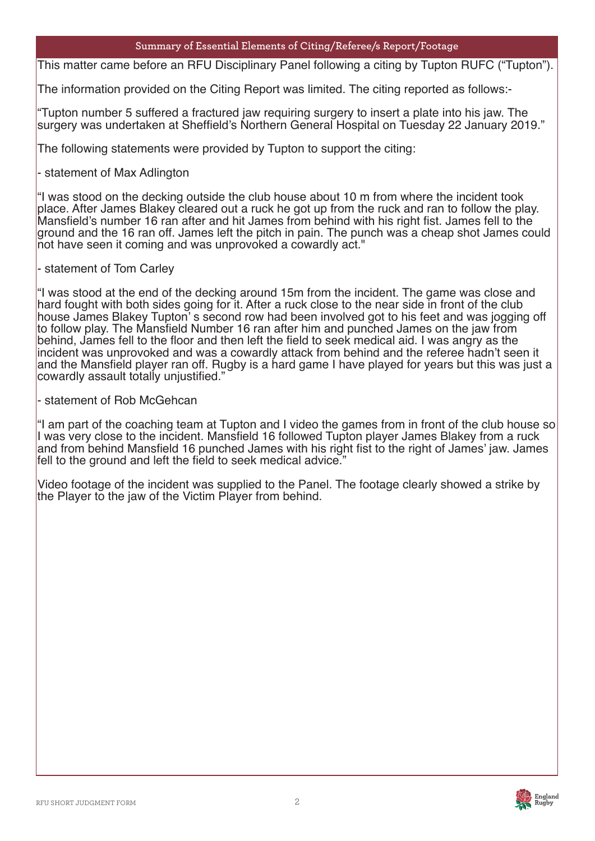#### **Summary of Essential Elements of Citing/Referee/s Report/Footage**

This matter came before an RFU Disciplinary Panel following a citing by Tupton RUFC ("Tupton").

Plea The information provided on the Citing Report was limited. The citing reported as follows:-

"Tupton number 5 suffered a fractured jaw requiring surgery to insert a plate into his jaw. The surgery was undertaken at Sheffield's Northern General Hospital on Tuesday 22 January 2019."

The following statements were provided by Tupton to support the citing:

- statement of Max Adlington

"I was stood on the decking outside the club house about 10 m from where the incident took place. After James Blakey cleared out a ruck he got up from the ruck and ran to follow the play. Mansfield's number 16 ran after and hit James from behind with his right fist. James fell to the ground and the 16 ran off. James left the pitch in pain. The punch was a cheap shot James could not have seen it coming and was unprovoked a cowardly act."

- statement of Tom Carley

"I was stood at the end of the decking around 15m from the incident. The game was close and hard fought with both sides going for it. After a ruck close to the near side in front of the club house James Blakey Tupton' s second row had been involved got to his feet and was jogging off to follow play. The Mansfield Number 16 ran after him and punched James on the jaw from behind, James fell to the floor and then left the field to seek medical aid. I was angry as the incident was unprovoked and was a cowardly attack from behind and the referee hadn't seen it and the Mansfield player ran off. Rugby is a hard game I have played for years but this was just a cowardly assault totally unjustified."

- statement of Rob McGehcan

"I am part of the coaching team at Tupton and I video the games from in front of the club house so I was very close to the incident. Mansfield 16 followed Tupton player James Blakey from a ruck and from behind Mansfield 16 punched James with his right fist to the right of James' jaw. James fell to the ground and left the field to seek medical advice."

Video footage of the incident was supplied to the Panel. The footage clearly showed a strike by the Player to the jaw of the Victim Player from behind.

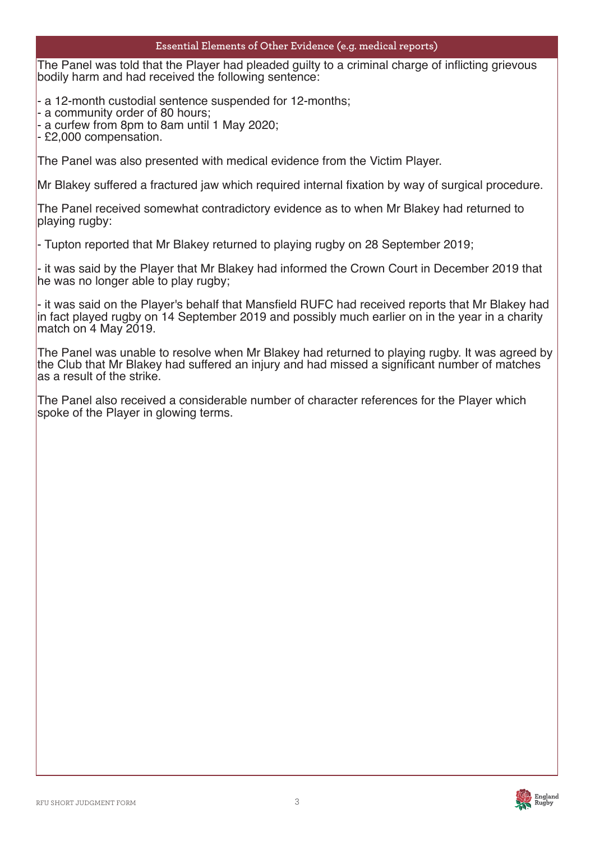#### **Essential Elements of Other Evidence (e.g. medical reports)**

The Panel was told that the Player had pleaded guilty to a criminal charge of inflicting grievous bodily harm and had received the following sentence:

- a 12-month custodial sentence suspended for 12-months;

- a community order of 80 hours;

- a curfew from 8pm to 8am until 1 May 2020;

- £2,000 compensation.

The Panel was also presented with medical evidence from the Victim Player.

Mr Blakey suffered a fractured jaw which required internal fixation by way of surgical procedure.

The Panel received somewhat contradictory evidence as to when Mr Blakey had returned to playing rugby:

- Tupton reported that Mr Blakey returned to playing rugby on 28 September 2019;

- it was said by the Player that Mr Blakey had informed the Crown Court in December 2019 that he was no longer able to play rugby;

- it was said on the Player's behalf that Mansfield RUFC had received reports that Mr Blakey had in fact played rugby on 14 September 2019 and possibly much earlier on in the year in a charity match on 4 May 2019.

The Panel was unable to resolve when Mr Blakey had returned to playing rugby. It was agreed by the Club that Mr Blakey had suffered an injury and had missed a significant number of matches as a result of the strike.

The Panel also received a considerable number of character references for the Player which spoke of the Player in glowing terms.

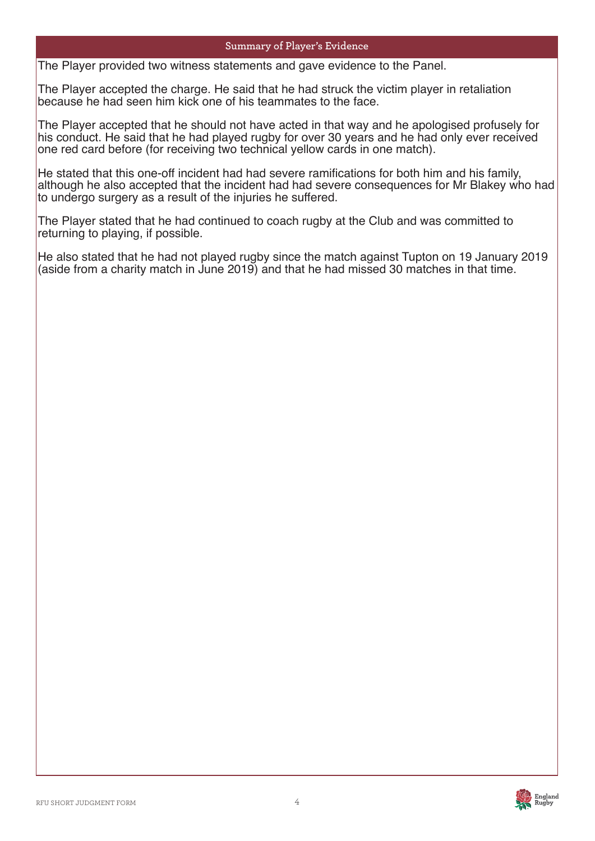#### **Summary of Player's Evidence**

The Player provided two witness statements and gave evidence to the Panel.

Plea The Player accepted the charge. He said that he had struck the victim player in retaliation because he had seen him kick one of his teammates to the face.

The Player accepted that he should not have acted in that way and he apologised profusely for his conduct. He said that he had played rugby for over 30 years and he had only ever received one red card before (for receiving two technical yellow cards in one match).

He stated that this one-off incident had had severe ramifications for both him and his family, although he also accepted that the incident had had severe consequences for Mr Blakey who had to undergo surgery as a result of the injuries he suffered.

The Player stated that he had continued to coach rugby at the Club and was committed to returning to playing, if possible.

He also stated that he had not played rugby since the match against Tupton on 19 January 2019 (aside from a charity match in June 2019) and that he had missed 30 matches in that time.

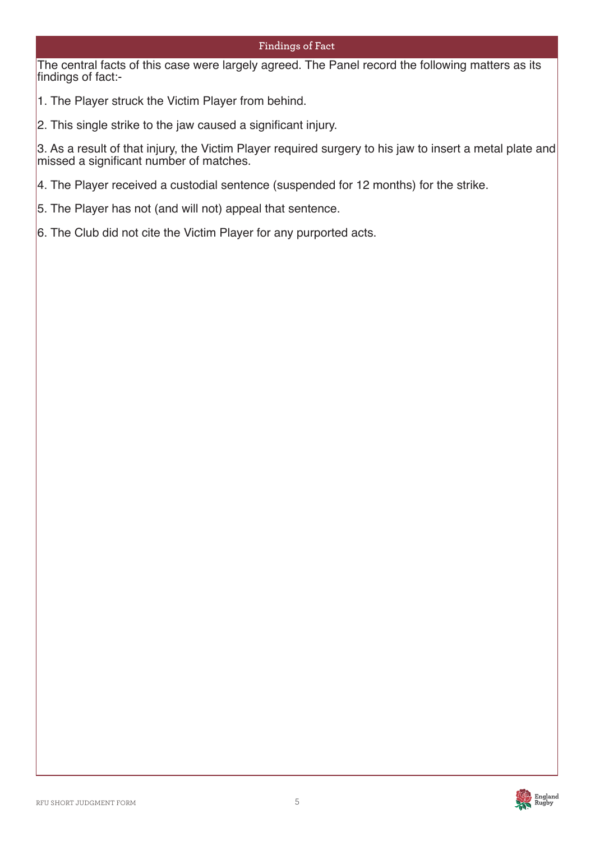### **Findings of Fact**

The central facts of this case were largely agreed. The Panel record the following matters as its findings of fact:-

1. The Player struck the Victim Player from behind.

2. This single strike to the jaw caused a significant injury.

3. As a result of that injury, the Victim Player required surgery to his jaw to insert a metal plate and missed a significant number of matches.

4. The Player received a custodial sentence (suspended for 12 months) for the strike.

- 5. The Player has not (and will not) appeal that sentence.
- 6. The Club did not cite the Victim Player for any purported acts.

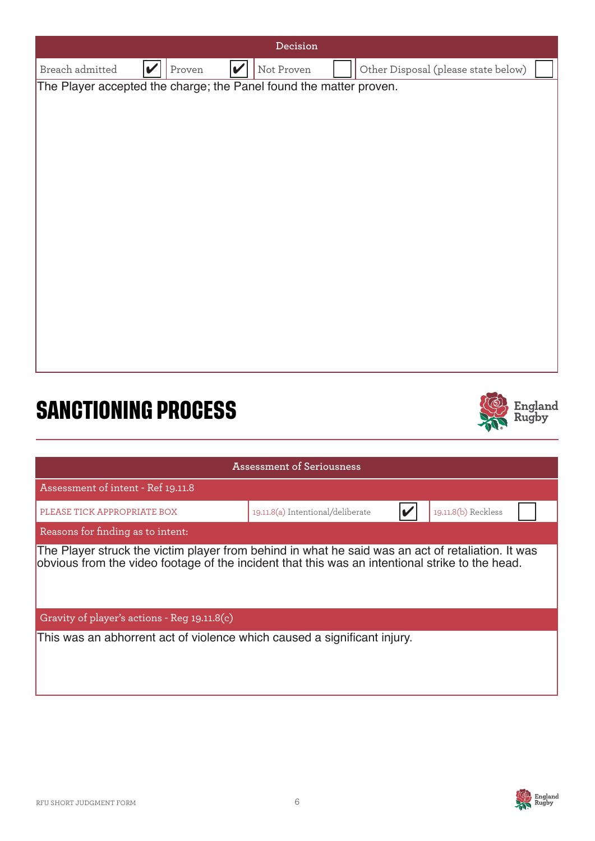

This was an abhorrent act of violence which caused a significant injury.

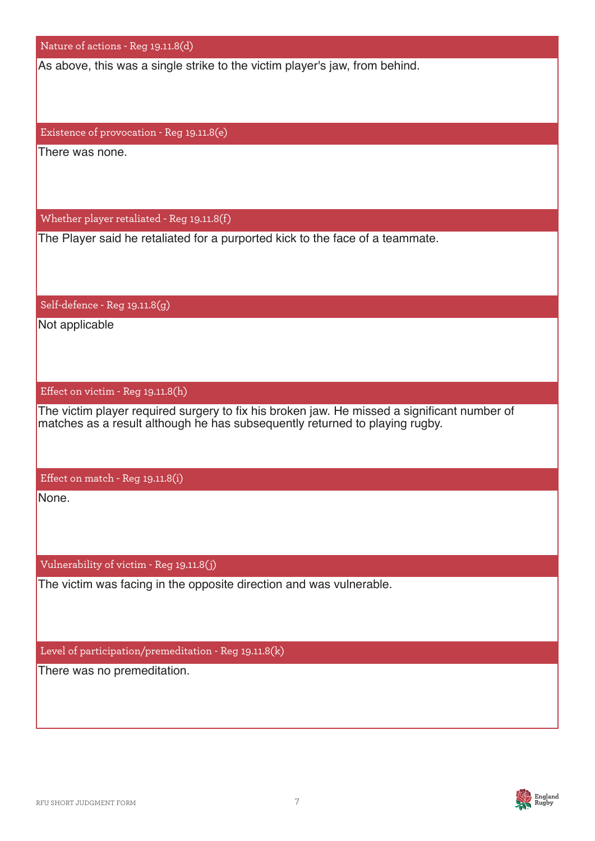| Nature of actions - Reg 19.11.8(d)                                                                                                                                         |
|----------------------------------------------------------------------------------------------------------------------------------------------------------------------------|
| As above, this was a single strike to the victim player's jaw, from behind.                                                                                                |
|                                                                                                                                                                            |
|                                                                                                                                                                            |
| Existence of provocation - Reg 19.11.8(e)                                                                                                                                  |
| There was none.                                                                                                                                                            |
|                                                                                                                                                                            |
|                                                                                                                                                                            |
| Whether player retaliated - Reg 19.11.8(f)                                                                                                                                 |
| The Player said he retaliated for a purported kick to the face of a teammate.                                                                                              |
|                                                                                                                                                                            |
|                                                                                                                                                                            |
| Self-defence - Reg 19.11.8(g)                                                                                                                                              |
| Not applicable                                                                                                                                                             |
|                                                                                                                                                                            |
|                                                                                                                                                                            |
| Effect on victim - Reg 19.11.8(h)                                                                                                                                          |
| The victim player required surgery to fix his broken jaw. He missed a significant number of<br>matches as a result although he has subsequently returned to playing rugby. |
|                                                                                                                                                                            |
|                                                                                                                                                                            |
| Effect on match - Reg 19.11.8(i)                                                                                                                                           |
| None.                                                                                                                                                                      |
|                                                                                                                                                                            |
|                                                                                                                                                                            |
| Vulnerability of victim - Reg 19.11.8(j)                                                                                                                                   |
| The victim was facing in the opposite direction and was vulnerable.                                                                                                        |
|                                                                                                                                                                            |
|                                                                                                                                                                            |
| Level of participation/premeditation - Reg 19.11.8(k)                                                                                                                      |
| There was no premeditation.                                                                                                                                                |
|                                                                                                                                                                            |

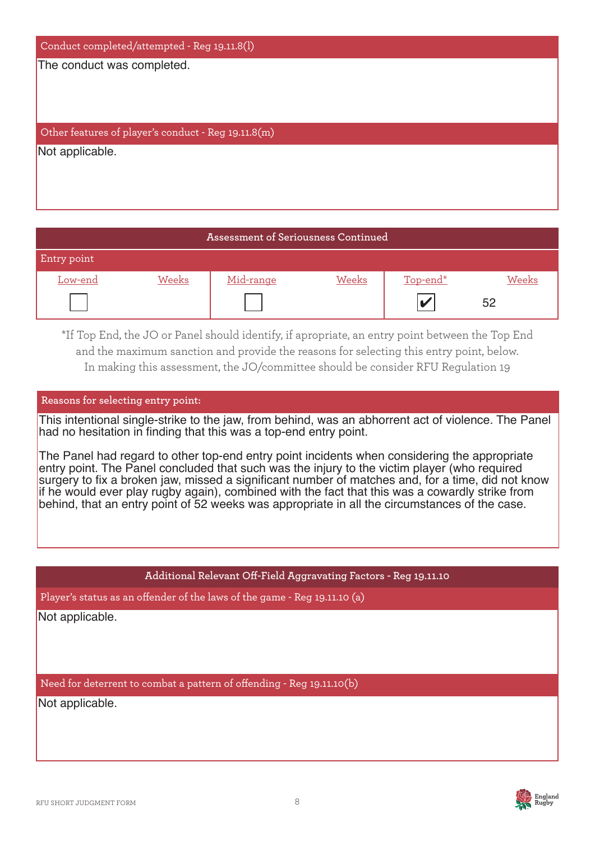| Conduct completed/attempted - Reg 19.11.8(l)        |
|-----------------------------------------------------|
| The conduct was completed.                          |
|                                                     |
|                                                     |
| Other features of player's conduct - Reg 19.11.8(m) |
| Not applicable.                                     |
|                                                     |
|                                                     |
|                                                     |

| Assessment of Seriousness Continued |       |           |       |          |       |
|-------------------------------------|-------|-----------|-------|----------|-------|
| Entry point                         |       |           |       |          |       |
| Low-end                             | Weeks | Mid-range | Weeks | Top-end* | Weeks |
|                                     |       |           |       |          | 52    |

\*If Top End, the JO or Panel should identify, if apropriate, an entry point between the Top End and the maximum sanction and provide the reasons for selecting this entry point, below. In making this assessment, the JO/committee should be consider RFU Regulation 19

#### **Reasons for selecting entry point:**

This intentional single-strike to the jaw, from behind, was an abhorrent act of violence. The Panel had no hesitation in finding that this was a top-end entry point.

The Panel had regard to other top-end entry point incidents when considering the appropriate entry point. The Panel concluded that such was the injury to the victim player (who required surgery to fix a broken jaw, missed a significant number of matches and, for a time, did not know if he would ever play rugby again), combined with the fact that this was a cowardly strike from behind, that an entry point of 52 weeks was appropriate in all the circumstances of the case.

#### **Additional Relevant Off-Field Aggravating Factors - Reg 19.11.10**

Player's status as an offender of the laws of the game - Reg 19.11.10 (a)

Not applicable.

Need for deterrent to combat a pattern of offending - Reg 19.11.10(b)

Not applicable.

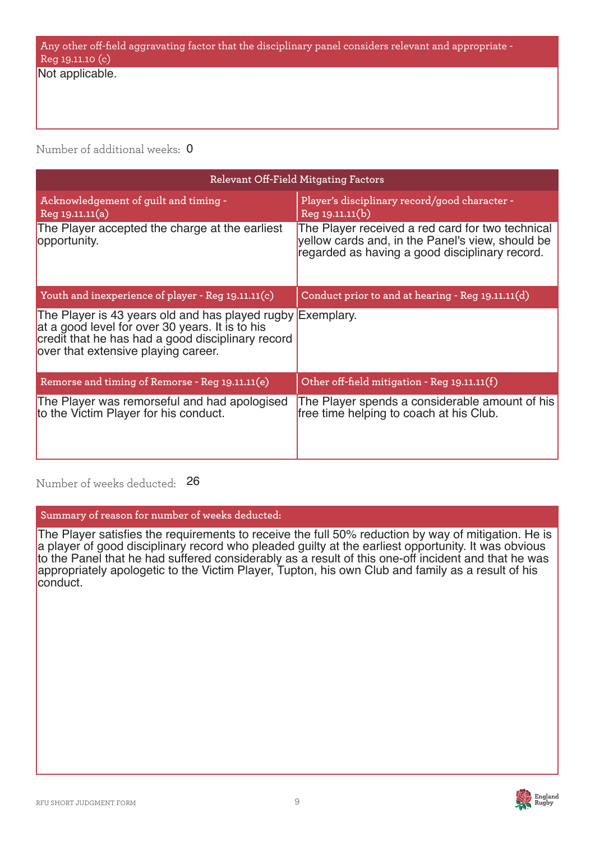# Any other off-field aggravating factor that the disciplinary panel considers relevant and appropriate - Reg 19.11.10 (c)

Not applicable.

Number of additional weeks: 0

| Relevant Off-Field Mitgating Factors                                                                                                                                                                      |                                                                                                                                                        |  |  |
|-----------------------------------------------------------------------------------------------------------------------------------------------------------------------------------------------------------|--------------------------------------------------------------------------------------------------------------------------------------------------------|--|--|
| Acknowledgement of guilt and timing -<br>Reg 19.11.11(a)                                                                                                                                                  | Player's disciplinary record/good character -<br>Reg 19.11.11(b)                                                                                       |  |  |
| The Player accepted the charge at the earliest<br>opportunity.                                                                                                                                            | The Player received a red card for two technical<br>yellow cards and, in the Panel's view, should be<br>regarded as having a good disciplinary record. |  |  |
| Youth and inexperience of player - Reg 19.11.11(c)                                                                                                                                                        | Conduct prior to and at hearing - Reg 19.11.11(d)                                                                                                      |  |  |
| The Player is 43 years old and has played rugby Exemplary.<br>at a good level for over 30 years. It is to his<br>credit that he has had a good disciplinary record<br>over that extensive playing career. |                                                                                                                                                        |  |  |
| Remorse and timing of Remorse - Reg 19.11.11(e)                                                                                                                                                           | Other off-field mitigation - Reg 19.11.11(f)                                                                                                           |  |  |
| The Player was remorseful and had apologised<br>to the Victim Player for his conduct.                                                                                                                     | The Player spends a considerable amount of his<br>free time helping to coach at his Club.                                                              |  |  |

Number of weeks deducted: 26

**Summary of reason for number of weeks deducted:**

The Player satisfies the requirements to receive the full 50% reduction by way of mitigation. He is a player of good disciplinary record who pleaded guilty at the earliest opportunity. It was obvious to the Panel that he had suffered considerably as a result of this one-off incident and that he was appropriately apologetic to the Victim Player, Tupton, his own Club and family as a result of his conduct.